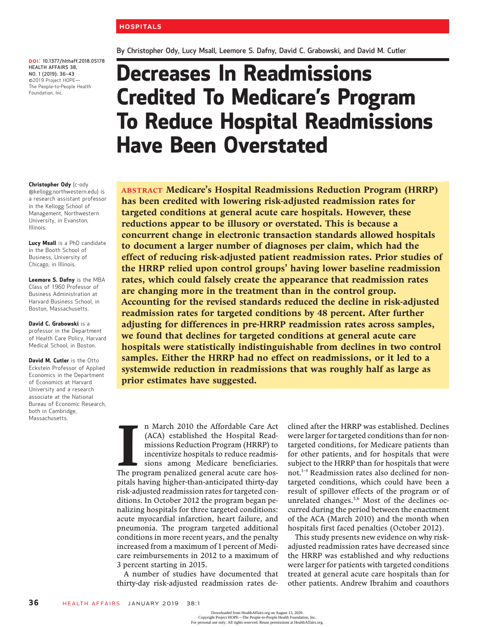### **HOSPITALS**

DOI: 10.1377/hlthaff.2018.05178 <mark>DOI</mark>: 10.1377/hlthaff<br>HEALTH AFFAIRS 38,<br>NO. 1 (2019): 36-43 NO. 1 (2019): 36-43<br>©2019 Project HOPE— The People-to-People Health Foundation, Inc.

Christopher Ody (c-ody

@kellogg.northwestern.edu) is a research assistant professor in the Kellogg School of Management, Northwestern University, in Evanston, Illinois.

Lucy Msall is a PhD candidate in the Booth School of Business, University of Chicago, in Illinois.

Leemore S. Dafny is the MBA Class of 1960 Professor of Business Administration at Harvard Business School, in Boston, Massachusetts.

David C. Grabowski is a professor in the Department of Health Care Policy, Harvard Medical School, in Boston.

David M. Cutler is the Otto Eckstein Professor of Applied Economics in the Department of Economics at Harvard University and a research associate at the National Bureau of Economic Research, both in Cambridge, Massachusetts.

By Christopher Ody, Lucy Msall, Leemore S. Dafny, David C. Grabowski, and David M. Cutler

# Decreases In Readmissions Credited To Medicare's Program To Reduce Hospital Readmissions Have Been Overstated

ABSTRACT Medicare's Hospital Readmissions Reduction Program (HRRP) has been credited with lowering risk-adjusted readmission rates for targeted conditions at general acute care hospitals. However, these reductions appear to be illusory or overstated. This is because a concurrent change in electronic transaction standards allowed hospitals to document a larger number of diagnoses per claim, which had the effect of reducing risk-adjusted patient readmission rates. Prior studies of the HRRP relied upon control groups' having lower baseline readmission rates, which could falsely create the appearance that readmission rates are changing more in the treatment than in the control group. Accounting for the revised standards reduced the decline in risk-adjusted readmission rates for targeted conditions by 48 percent. After further adjusting for differences in pre-HRRP readmission rates across samples, we found that declines for targeted conditions at general acute care hospitals were statistically indistinguishable from declines in two control samples. Either the HRRP had no effect on readmissions, or it led to a systemwide reduction in readmissions that was roughly half as large as prior estimates have suggested.

n March 2010 the Affordable Care Act (ACA) established the Hospital Readmissions Reduction Program (HRRP) to incentivize hospitals to reduce readmissions among Medicare beneficiaries.<br>The program penalized general acute ca n March 2010 the Affordable Care Act (ACA) established the Hospital Readmissions Reduction Program (HRRP) to incentivize hospitals to reduce readmissions among Medicare beneficiaries. pitals having higher-than-anticipated thirty-day risk-adjusted readmission rates for targeted conditions. In October 2012 the program began penalizing hospitals for three targeted conditions: acute myocardial infarction, heart failure, and pneumonia. The program targeted additional conditions in more recent years, and the penalty increased from a maximum of 1 percent of Medicare reimbursements in 2012 to a maximum of 3 percent starting in 2015.

A number of studies have documented that thirty-day risk-adjusted readmission rates declined after the HRRP was established. Declines were larger for targeted conditions than for nontargeted conditions, for Medicare patients than for other patients, and for hospitals that were subject to the HRRP than for hospitals that were not.<sup>1-4</sup> Readmission rates also declined for nontargeted conditions, which could have been a result of spillover effects of the program or of unrelated changes.<sup>5,6</sup> Most of the declines occurred during the period between the enactment of the ACA (March 2010) and the month when hospitals first faced penalties (October 2012).

This study presents new evidence on why riskadjusted readmission rates have decreased since the HRRP was established and why reductions were larger for patients with targeted conditions treated at general acute care hospitals than for other patients. Andrew Ibrahim and coauthors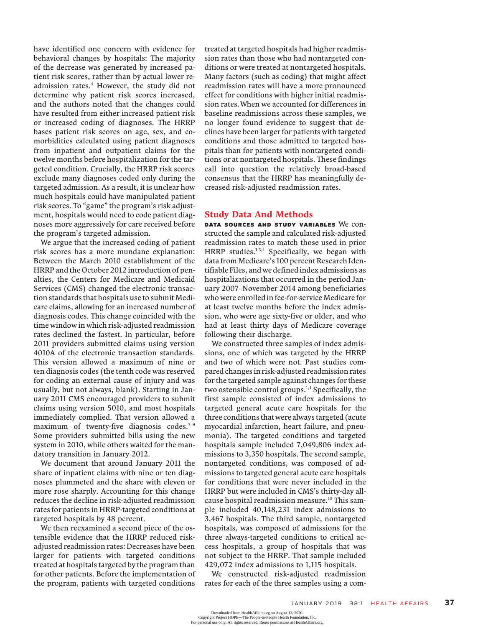have identified one concern with evidence for behavioral changes by hospitals: The majority of the decrease was generated by increased patient risk scores, rather than by actual lower readmission rates.<sup>4</sup> However, the study did not determine why patient risk scores increased, and the authors noted that the changes could have resulted from either increased patient risk or increased coding of diagnoses. The HRRP bases patient risk scores on age, sex, and comorbidities calculated using patient diagnoses from inpatient and outpatient claims for the twelve months before hospitalization for the targeted condition. Crucially, the HRRP risk scores exclude many diagnoses coded only during the targeted admission. As a result, it is unclear how much hospitals could have manipulated patient risk scores. To "game" the program's risk adjustment, hospitals would need to code patient diagnoses more aggressively for care received before the program's targeted admission.

We argue that the increased coding of patient risk scores has a more mundane explanation: Between the March 2010 establishment of the HRRP and the October 2012 introduction of penalties, the Centers for Medicare and Medicaid Services (CMS) changed the electronic transaction standards that hospitals use to submit Medicare claims, allowing for an increased number of diagnosis codes. This change coincided with the time window in which risk-adjusted readmission rates declined the fastest. In particular, before 2011 providers submitted claims using version 4010A of the electronic transaction standards. This version allowed a maximum of nine or ten diagnosis codes (the tenth code was reserved for coding an external cause of injury and was usually, but not always, blank). Starting in January 2011 CMS encouraged providers to submit claims using version 5010, and most hospitals immediately complied. That version allowed a maximum of twenty-five diagnosis codes. $7-9$ Some providers submitted bills using the new system in 2010, while others waited for the mandatory transition in January 2012.

We document that around January 2011 the share of inpatient claims with nine or ten diagnoses plummeted and the share with eleven or more rose sharply. Accounting for this change reduces the decline in risk-adjusted readmission rates for patients in HRRP-targeted conditions at targeted hospitals by 48 percent.

We then reexamined a second piece of the ostensible evidence that the HRRP reduced riskadjusted readmission rates: Decreases have been larger for patients with targeted conditions treated at hospitals targeted by the program than for other patients. Before the implementation of the program, patients with targeted conditions

treated at targeted hospitals had higher readmission rates than those who had nontargeted conditions or were treated at nontargeted hospitals. Many factors (such as coding) that might affect readmission rates will have a more pronounced effect for conditions with higher initial readmission rates.When we accounted for differences in baseline readmissions across these samples, we no longer found evidence to suggest that declines have been larger for patients with targeted conditions and those admitted to targeted hospitals than for patients with nontargeted conditions or at nontargeted hospitals. These findings call into question the relatively broad-based consensus that the HRRP has meaningfully decreased risk-adjusted readmission rates.

# Study Data And Methods

Data Sources And Study Variables We constructed the sample and calculated risk-adjusted readmission rates to match those used in prior HRRP studies.<sup>1,3,4</sup> Specifically, we began with data from Medicare's 100 percent Research Identifiable Files, and we defined index admissions as hospitalizations that occurred in the period January 2007–November 2014 among beneficiaries who were enrolled in fee-for-service Medicare for at least twelve months before the index admission, who were age sixty-five or older, and who had at least thirty days of Medicare coverage following their discharge.

We constructed three samples of index admissions, one of which was targeted by the HRRP and two of which were not. Past studies compared changes in risk-adjusted readmission rates for the targeted sample against changes for these two ostensible control groups.<sup>1,4</sup> Specifically, the first sample consisted of index admissions to targeted general acute care hospitals for the three conditions that were always targeted (acute myocardial infarction, heart failure, and pneumonia). The targeted conditions and targeted hospitals sample included 7,049,806 index admissions to 3,350 hospitals. The second sample, nontargeted conditions, was composed of admissions to targeted general acute care hospitals for conditions that were never included in the HRRP but were included in CMS's thirty-day allcause hospital readmission measure.<sup>10</sup> This sample included 40,148,231 index admissions to 3,467 hospitals. The third sample, nontargeted hospitals, was composed of admissions for the three always-targeted conditions to critical access hospitals, a group of hospitals that was not subject to the HRRP. That sample included 429,072 index admissions to 1,115 hospitals.

We constructed risk-adjusted readmission rates for each of the three samples using a com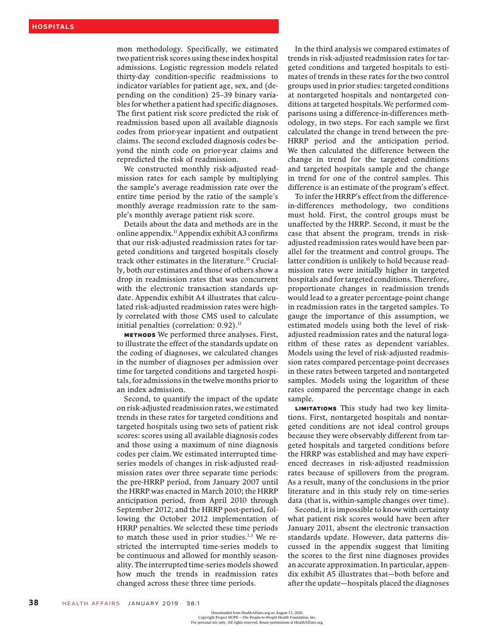mon methodology. Specifically, we estimated two patient risk scores using these index hospital admissions. Logistic regression models related thirty-day condition-specific readmissions to indicator variables for patient age, sex, and (depending on the condition) 25–39 binary variables for whether a patient had specific diagnoses. The first patient risk score predicted the risk of readmission based upon all available diagnosis codes from prior-year inpatient and outpatient claims. The second excluded diagnosis codes beyond the ninth code on prior-year claims and repredicted the risk of readmission.

We constructed monthly risk-adjusted readmission rates for each sample by multiplying the sample's average readmission rate over the entire time period by the ratio of the sample's monthly average readmission rate to the sample's monthly average patient risk score.

Details about the data and methods are in the online appendix.11 Appendix exhibit A3 confirms that our risk-adjusted readmission rates for targeted conditions and targeted hospitals closely track other estimates in the literature.<sup>11</sup> Crucially, both our estimates and those of others show a drop in readmission rates that was concurrent with the electronic transaction standards update. Appendix exhibit A4 illustrates that calculated risk-adjusted readmission rates were highly correlated with those CMS used to calculate initial penalties (correlation:  $0.92$ ).<sup>11</sup>

**METHODS** We performed three analyses. First, to illustrate the effect of the standards update on the coding of diagnoses, we calculated changes in the number of diagnoses per admission over time for targeted conditions and targeted hospitals, for admissions in the twelve months prior to an index admission.

Second, to quantify the impact of the update on risk-adjusted readmission rates, we estimated trends in these rates for targeted conditions and targeted hospitals using two sets of patient risk scores: scores using all available diagnosis codes and those using a maximum of nine diagnosis codes per claim.We estimated interrupted timeseries models of changes in risk-adjusted readmission rates over three separate time periods: the pre-HRRP period, from January 2007 until the HRRP was enacted in March 2010; the HRRP anticipation period, from April 2010 through September 2012; and the HRRP post-period, following the October 2012 implementation of HRRP penalties. We selected these time periods to match those used in prior studies. $1,3$  We restricted the interrupted time-series models to be continuous and allowed for monthly seasonality. The interrupted time-series models showed how much the trends in readmission rates changed across these three time periods.

In the third analysis we compared estimates of trends in risk-adjusted readmission rates for targeted conditions and targeted hospitals to estimates of trends in these rates for the two control groups used in prior studies: targeted conditions at nontargeted hospitals and nontargeted conditions at targeted hospitals.We performed comparisons using a difference-in-differences methodology, in two steps. For each sample we first calculated the change in trend between the pre-HRRP period and the anticipation period. We then calculated the difference between the change in trend for the targeted conditions and targeted hospitals sample and the change in trend for one of the control samples. This difference is an estimate of the program's effect.

To infer the HRRP's effect from the differencein-differences methodology, two conditions must hold. First, the control groups must be unaffected by the HRRP. Second, it must be the case that absent the program, trends in riskadjusted readmission rates would have been parallel for the treatment and control groups. The latter condition is unlikely to hold because readmission rates were initially higher in targeted hospitals and for targeted conditions. Therefore, proportionate changes in readmission trends would lead to a greater percentage-point change in readmission rates in the targeted samples. To gauge the importance of this assumption, we estimated models using both the level of riskadjusted readmission rates and the natural logarithm of these rates as dependent variables. Models using the level of risk-adjusted readmission rates compared percentage-point decreases in these rates between targeted and nontargeted samples. Models using the logarithm of these rates compared the percentage change in each sample.

Limitations This study had two key limitations. First, nontargeted hospitals and nontargeted conditions are not ideal control groups because they were observably different from targeted hospitals and targeted conditions before the HRRP was established and may have experienced decreases in risk-adjusted readmission rates because of spillovers from the program. As a result, many of the conclusions in the prior literature and in this study rely on time-series data (that is, within-sample changes over time).

Second, it is impossible to know with certainty what patient risk scores would have been after January 2011, absent the electronic transaction standards update. However, data patterns discussed in the appendix suggest that limiting the scores to the first nine diagnoses provides an accurate approximation. In particular, appendix exhibit A5 illustrates that—both before and after the update—hospitals placed the diagnoses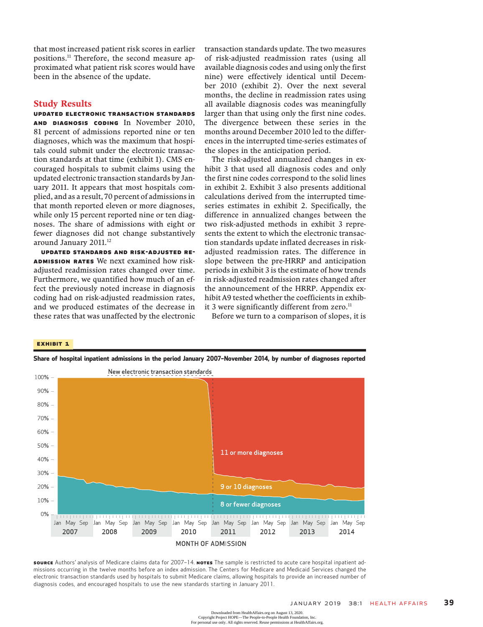that most increased patient risk scores in earlier positions.11 Therefore, the second measure approximated what patient risk scores would have been in the absence of the update.

# Study Results

Updated Electronic Transaction Standards And Diagnosis Coding In November 2010, 81 percent of admissions reported nine or ten diagnoses, which was the maximum that hospitals could submit under the electronic transaction standards at that time (exhibit 1). CMS encouraged hospitals to submit claims using the updated electronic transaction standards by January 2011. It appears that most hospitals complied, and as a result, 70 percent of admissions in that month reported eleven or more diagnoses, while only 15 percent reported nine or ten diagnoses. The share of admissions with eight or fewer diagnoses did not change substantively around January 2011.<sup>12</sup>

Updated Standards And Risk-Adjusted Readmission Rates We next examined how riskadjusted readmission rates changed over time. Furthermore, we quantified how much of an effect the previously noted increase in diagnosis coding had on risk-adjusted readmission rates, and we produced estimates of the decrease in these rates that was unaffected by the electronic transaction standards update. The two measures of risk-adjusted readmission rates (using all available diagnosis codes and using only the first nine) were effectively identical until December 2010 (exhibit 2). Over the next several months, the decline in readmission rates using all available diagnosis codes was meaningfully larger than that using only the first nine codes. The divergence between these series in the months around December 2010 led to the differences in the interrupted time-series estimates of the slopes in the anticipation period.

The risk-adjusted annualized changes in exhibit 3 that used all diagnosis codes and only the first nine codes correspond to the solid lines in exhibit 2. Exhibit 3 also presents additional calculations derived from the interrupted timeseries estimates in exhibit 2. Specifically, the difference in annualized changes between the two risk-adjusted methods in exhibit 3 represents the extent to which the electronic transaction standards update inflated decreases in riskadjusted readmission rates. The difference in slope between the pre-HRRP and anticipation periods in exhibit 3 is the estimate of how trends in risk-adjusted readmission rates changed after the announcement of the HRRP. Appendix exhibit A9 tested whether the coefficients in exhibit 3 were significantly different from zero. $<sup>11</sup>$ </sup>

Before we turn to a comparison of slopes, it is

#### Exhibit 1



Share of hospital inpatient admissions in the period January 2007–November 2014, by number of diagnoses reported

source Authors' analysis of Medicare claims data for 2007-14. NOTES The sample is restricted to acute care hospital inpatient admissions occurring in the twelve months before an index admission. The Centers for Medicare and Medicaid Services changed the electronic transaction standards used by hospitals to submit Medicare claims, allowing hospitals to provide an increased number of diagnosis codes, and encouraged hospitals to use the new standards starting in January 2011.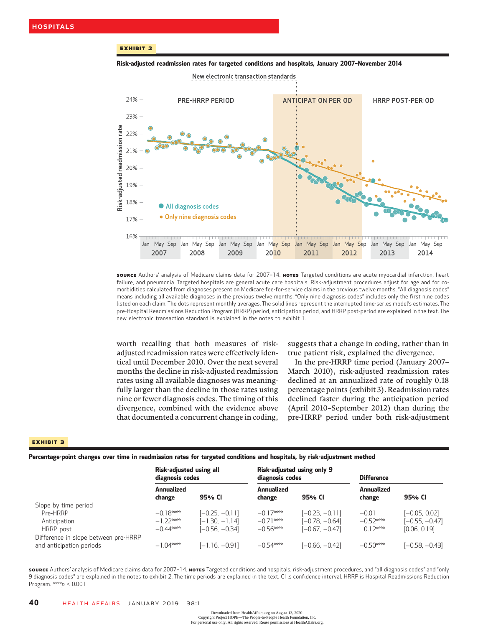#### Exhibit 2





source Authors' analysis of Medicare claims data for 2007-14. Nores Targeted conditions are acute myocardial infarction, heart failure, and pneumonia. Targeted hospitals are general acute care hospitals. Risk-adjustment procedures adjust for age and for comorbidities calculated from diagnoses present on Medicare fee-for-service claims in the previous twelve months. "All diagnosis codes" means including all available diagnoses in the previous twelve months. "Only nine diagnosis codes" includes only the first nine codes listed on each claim. The dots represent monthly averages. The solid lines represent the interrupted time-series model's estimates. The pre-Hospital Readmissions Reduction Program (HRRP) period, anticipation period, and HRRP post-period are explained in the text. The new electronic transaction standard is explained in the notes to exhibit 1.

worth recalling that both measures of riskadjusted readmission rates were effectively identical until December 2010. Over the next several months the decline in risk-adjusted readmission rates using all available diagnoses was meaningfully larger than the decline in those rates using nine or fewer diagnosis codes. The timing of this divergence, combined with the evidence above that documented a concurrent change in coding,

suggests that a change in coding, rather than in true patient risk, explained the divergence.

In the pre-HRRP time period (January 2007– March 2010), risk-adjusted readmission rates declined at an annualized rate of roughly 0.18 percentage points (exhibit 3). Readmission rates declined faster during the anticipation period (April 2010–September 2012) than during the pre-HRRP period under both risk-adjustment

#### Exhibit 3

| Percentage-point changes over time in readmission rates for targeted conditions and hospitals, by risk-adjustment method |
|--------------------------------------------------------------------------------------------------------------------------|
|--------------------------------------------------------------------------------------------------------------------------|

|                                      | <b>Risk-adjusted using all</b><br>diagnosis codes |                  | <b>Risk-adjusted using only 9</b><br>diagnosis codes |                  | <b>Difference</b>    |                  |
|--------------------------------------|---------------------------------------------------|------------------|------------------------------------------------------|------------------|----------------------|------------------|
|                                      | Annualized<br>change                              | 95% CI           | Annualized<br>change                                 | 95% CI           | Annualized<br>change | 95% CI           |
| Slope by time period                 |                                                   |                  |                                                      |                  |                      |                  |
| Pre-HRRP                             | $-0.18***$                                        | $[-0.25, -0.11]$ | $-0.17$ ****                                         | $[-0.23, -0.11]$ | $-0.01$              | $[-0.05, 0.02]$  |
| Anticipation                         | $-1.22$ ****                                      | [-1.30. -1.14]   | $-0.71***$                                           | $[-0.78, -0.64]$ | $-0.52***$           | $[-0.55, -0.47]$ |
| HRRP post                            | $-0.44***$                                        | [-0.56, -0.34]   | $-0.56***$                                           | $[-0.67, -0.47]$ | $0.12***$            | [0.06, 0.19]     |
| Difference in slope between pre-HRRP |                                                   |                  |                                                      |                  |                      |                  |
| and anticipation periods             | $-1.04***$                                        | $[-1.16, -0.91]$ | $-0.54***$                                           | $[-0.66, -0.42]$ | $-0.50***$           | $[-0.58, -0.43]$ |

source Authors' analysis of Medicare claims data for 2007-14. Notes Targeted conditions and hospitals, risk-adjustment procedures, and "all diagnosis codes" and "only 9 diagnosis codes" are explained in the notes to exhibit 2. The time periods are explained in the text. CI is confidence interval. HRRP is Hospital Readmissions Reduction Program. \*\*\*\*p < 0:001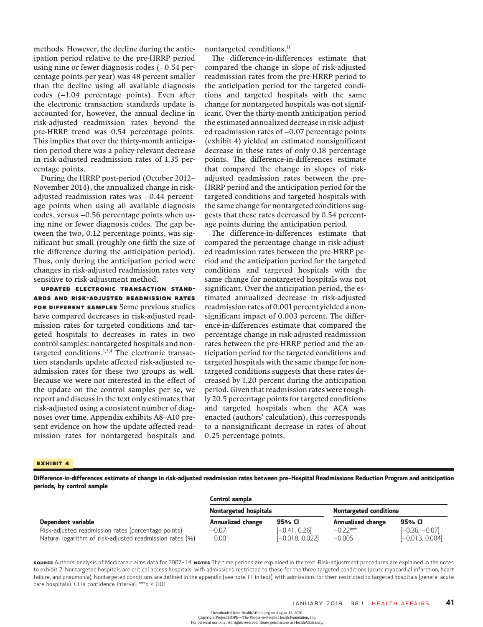methods. However, the decline during the anticipation period relative to the pre-HRRP period using nine or fewer diagnosis codes (−0.54 percentage points per year) was 48 percent smaller than the decline using all available diagnosis codes (−1.04 percentage points). Even after the electronic transaction standards update is accounted for, however, the annual decline in risk-adjusted readmission rates beyond the pre-HRRP trend was 0.54 percentage points. This implies that over the thirty-month anticipation period there was a policy-relevant decrease in risk-adjusted readmission rates of 1.35 percentage points.

During the HRRP post-period (October 2012– November 2014), the annualized change in riskadjusted readmission rates was −0.44 percentage points when using all available diagnosis codes, versus −0.56 percentage points when using nine or fewer diagnosis codes. The gap between the two, 0.12 percentage points, was significant but small (roughly one-fifth the size of the difference during the anticipation period). Thus, only during the anticipation period were changes in risk-adjusted readmission rates very sensitive to risk-adjustment method.

Updated Electronic Transaction Standards And Risk-Adjusted Readmission Rates For Different Samples Some previous studies have compared decreases in risk-adjusted readmission rates for targeted conditions and targeted hospitals to decreases in rates in two control samples: nontargeted hospitals and nontargeted conditions.<sup>1,3,4</sup> The electronic transaction standards update affected risk-adjusted readmission rates for these two groups as well. Because we were not interested in the effect of the update on the control samples per se, we report and discuss in the text only estimates that risk-adjusted using a consistent number of diagnoses over time. Appendix exhibits A8–A10 present evidence on how the update affected readmission rates for nontargeted hospitals and

nontargeted conditions.<sup>11</sup>

The difference-in-differences estimate that compared the change in slope of risk-adjusted readmission rates from the pre-HRRP period to the anticipation period for the targeted conditions and targeted hospitals with the same change for nontargeted hospitals was not significant. Over the thirty-month anticipation period the estimated annualized decrease in risk-adjusted readmission rates of −0.07 percentage points (exhibit 4) yielded an estimated nonsignificant decrease in these rates of only 0.18 percentage points. The difference-in-differences estimate that compared the change in slopes of riskadjusted readmission rates between the pre-HRRP period and the anticipation period for the targeted conditions and targeted hospitals with the same change for nontargeted conditions suggests that these rates decreased by 0.54 percentage points during the anticipation period.

The difference-in-differences estimate that compared the percentage change in risk-adjusted readmission rates between the pre-HRRP period and the anticipation period for the targeted conditions and targeted hospitals with the same change for nontargeted hospitals was not significant. Over the anticipation period, the estimated annualized decrease in risk-adjusted readmission rates of 0.001 percent yielded a nonsignificant impact of 0.003 percent. The difference-in-differences estimate that compared the percentage change in risk-adjusted readmission rates between the pre-HRRP period and the anticipation period for the targeted conditions and targeted hospitals with the same change for nontargeted conditions suggests that these rates decreased by 1.20 percent during the anticipation period. Given that readmission rates were roughly 20.5 percentage points for targeted conditions and targeted hospitals when the ACA was enacted (authors' calculation), this corresponds to a nonsignificant decrease in rates of about 0.25 percentage points.

#### Exhibit 4

Difference-in-differences estimate of change in risk-adjusted readmission rates between pre–Hospital Readmissions Reduction Program and anticipation periods, by control sample

| Dependent variable |  |
|--------------------|--|
|--------------------|--|

|                                                          | <b>Control sample</b>        |                   |                               |                   |  |  |  |
|----------------------------------------------------------|------------------------------|-------------------|-------------------------------|-------------------|--|--|--|
|                                                          | <b>Nontargeted hospitals</b> |                   | <b>Nontargeted conditions</b> |                   |  |  |  |
| Dependent variable                                       | <b>Annualized change</b>     | 95% CI            | Annualized change             | 95% CI            |  |  |  |
| Risk-adjusted readmission rates (percentage points)      | $-0.07$                      | $[-0.41, 0.26]$   | $-0.22***$                    | $[-0.36, -0.07]$  |  |  |  |
| Natural logarithm of risk-adjusted readmission rates (%) | 0.001                        | $[-0.018, 0.022]$ | $-0.005$                      | $[-0.013, 0.004]$ |  |  |  |

source Authors' analysis of Medicare claims data for 2007-14. Nores The time periods are explained in the text. Risk-adjustment procedures are explained in the notes to exhibit 2. Nontargeted hospitals are critical access hospitals, with admissions restricted to those for the three targeted conditions (acute myocardial infarction, heart failure, and pneumonia). Nontargeted conditions are defined in the appendix (see note 11 in text), with admissions for them restricted to targeted hospitals (general acute care hospitals). CI is confidence interval. \*\*\*p < 0:01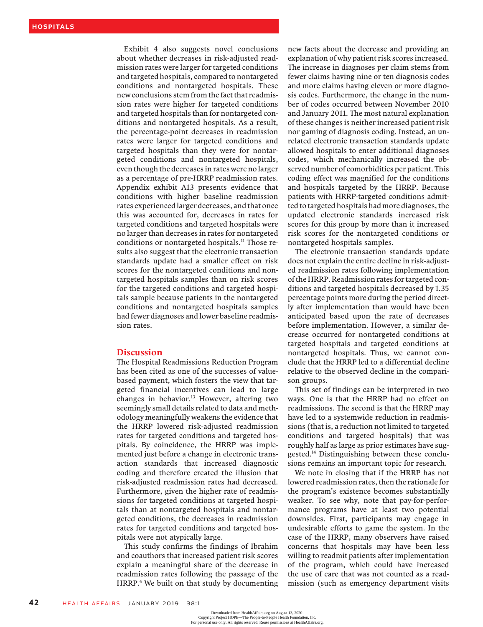Exhibit 4 also suggests novel conclusions about whether decreases in risk-adjusted readmission rates were larger for targeted conditions and targeted hospitals, compared to nontargeted conditions and nontargeted hospitals. These new conclusions stem from the fact that readmission rates were higher for targeted conditions and targeted hospitals than for nontargeted conditions and nontargeted hospitals. As a result, the percentage-point decreases in readmission rates were larger for targeted conditions and targeted hospitals than they were for nontargeted conditions and nontargeted hospitals, even though the decreases in rates were no larger as a percentage of pre-HRRP readmission rates. Appendix exhibit A13 presents evidence that conditions with higher baseline readmission rates experienced larger decreases, and that once this was accounted for, decreases in rates for targeted conditions and targeted hospitals were no larger than decreases in rates for nontargeted conditions or nontargeted hospitals.<sup>11</sup> Those results also suggest that the electronic transaction standards update had a smaller effect on risk scores for the nontargeted conditions and nontargeted hospitals samples than on risk scores for the targeted conditions and targeted hospitals sample because patients in the nontargeted conditions and nontargeted hospitals samples had fewer diagnoses and lower baseline readmission rates.

# Discussion

The Hospital Readmissions Reduction Program has been cited as one of the successes of valuebased payment, which fosters the view that targeted financial incentives can lead to large changes in behavior.13 However, altering two seemingly small details related to data and methodology meaningfully weakens the evidence that the HRRP lowered risk-adjusted readmission rates for targeted conditions and targeted hospitals. By coincidence, the HRRP was implemented just before a change in electronic transaction standards that increased diagnostic coding and therefore created the illusion that risk-adjusted readmission rates had decreased. Furthermore, given the higher rate of readmissions for targeted conditions at targeted hospitals than at nontargeted hospitals and nontargeted conditions, the decreases in readmission rates for targeted conditions and targeted hospitals were not atypically large.

This study confirms the findings of Ibrahim and coauthors that increased patient risk scores explain a meaningful share of the decrease in readmission rates following the passage of the HRRP.<sup>4</sup> We built on that study by documenting

new facts about the decrease and providing an explanation of why patient risk scores increased. The increase in diagnoses per claim stems from fewer claims having nine or ten diagnosis codes and more claims having eleven or more diagnosis codes. Furthermore, the change in the number of codes occurred between November 2010 and January 2011. The most natural explanation of these changes is neither increased patient risk nor gaming of diagnosis coding. Instead, an unrelated electronic transaction standards update allowed hospitals to enter additional diagnoses codes, which mechanically increased the observed number of comorbidities per patient. This coding effect was magnified for the conditions and hospitals targeted by the HRRP. Because patients with HRRP-targeted conditions admitted to targeted hospitals had more diagnoses, the updated electronic standards increased risk scores for this group by more than it increased risk scores for the nontargeted conditions or nontargeted hospitals samples.

The electronic transaction standards update does not explain the entire decline in risk-adjusted readmission rates following implementation of the HRRP. Readmission rates for targeted conditions and targeted hospitals decreased by 1.35 percentage points more during the period directly after implementation than would have been anticipated based upon the rate of decreases before implementation. However, a similar decrease occurred for nontargeted conditions at targeted hospitals and targeted conditions at nontargeted hospitals. Thus, we cannot conclude that the HRRP led to a differential decline relative to the observed decline in the comparison groups.

This set of findings can be interpreted in two ways. One is that the HRRP had no effect on readmissions. The second is that the HRRP may have led to a systemwide reduction in readmissions (that is, a reduction not limited to targeted conditions and targeted hospitals) that was roughly half as large as prior estimates have suggested.<sup>14</sup> Distinguishing between these conclusions remains an important topic for research.

We note in closing that if the HRRP has not lowered readmission rates, then the rationale for the program's existence becomes substantially weaker. To see why, note that pay-for-performance programs have at least two potential downsides. First, participants may engage in undesirable efforts to game the system. In the case of the HRRP, many observers have raised concerns that hospitals may have been less willing to readmit patients after implementation of the program, which could have increased the use of care that was not counted as a readmission (such as emergency department visits